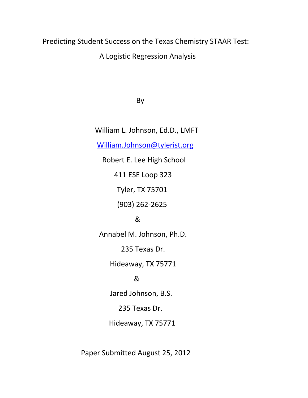## Predicting Student Success on the Texas Chemistry STAAR Test:

A Logistic Regression Analysis

By

 William L. Johnson, Ed.D., LMFT [William.Johnson@tylerist.org](mailto:William.Johnson@tylerist.org) Robert E. Lee High School 411 ESE Loop 323 Tyler, TX 75701 (903) 262-2625 & Annabel M. Johnson, Ph.D. 235 Texas Dr. Hideaway, TX 75771 & Jared Johnson, B.S. 235 Texas Dr. Hideaway, TX 75771

Paper Submitted August 25, 2012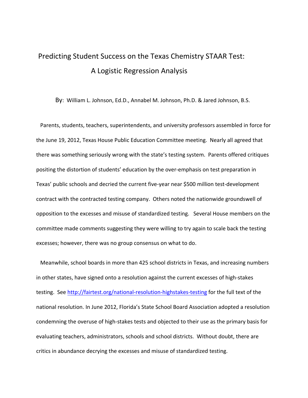# Predicting Student Success on the Texas Chemistry STAAR Test: A Logistic Regression Analysis

By: William L. Johnson, Ed.D., Annabel M. Johnson, Ph.D. & Jared Johnson, B.S.

 Parents, students, teachers, superintendents, and university professors assembled in force for the June 19, 2012, Texas House Public Education Committee meeting. Nearly all agreed that there was something seriously wrong with the state's testing system. Parents offered critiques positing the distortion of students' education by the over-emphasis on test preparation in Texas' public schools and decried the current five-year near \$500 million test-development contract with the contracted testing company. Others noted the nationwide groundswell of opposition to the excesses and misuse of standardized testing. Several House members on the committee made comments suggesting they were willing to try again to scale back the testing excesses; however, there was no group consensus on what to do.

 Meanwhile, school boards in more than 425 school districts in Texas, and increasing numbers in other states, have signed onto a resolution against the current excesses of high-stakes testing. See<http://fairtest.org/national-resolution-highstakes-testing> for the full text of the national resolution. In June 2012, Florida's State School Board Association adopted a resolution condemning the overuse of high-stakes tests and objected to their use as the primary basis for evaluating teachers, administrators, schools and school districts. Without doubt, there are critics in abundance decrying the excesses and misuse of standardized testing.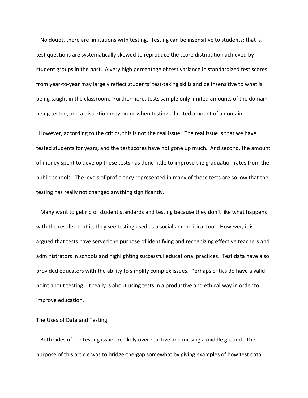No doubt, there are limitations with testing. Testing can be insensitive to students; that is, test questions are systematically skewed to reproduce the score distribution achieved by student groups in the past. A very high percentage of test variance in standardized test scores from year-to-year may largely reflect students' test-taking skills and be insensitive to what is being taught in the classroom. Furthermore, tests sample only limited amounts of the domain being tested, and a distortion may occur when testing a limited amount of a domain.

However, according to the critics, this is not the real issue. The real issue is that we have tested students for years, and the test scores have not gone up much. And second, the amount of money spent to develop these tests has done little to improve the graduation rates from the public schools. The levels of proficiency represented in many of these tests are so low that the testing has really not changed anything significantly.

 Many want to get rid of student standards and testing because they don't like what happens with the results; that is, they see testing used as a social and political tool. However, it is argued that tests have served the purpose of identifying and recognizing effective teachers and administrators in schools and highlighting successful educational practices. Test data have also provided educators with the ability to simplify complex issues. Perhaps critics do have a valid point about testing. It really is about using tests in a productive and ethical way in order to improve education.

#### The Uses of Data and Testing

 Both sides of the testing issue are likely over reactive and missing a middle ground. The purpose of this article was to bridge-the-gap somewhat by giving examples of how test data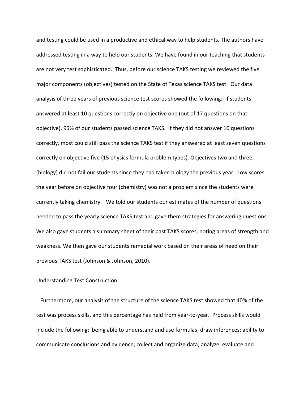and testing could be used in a productive and ethical way to help students. The authors have addressed testing in a way to help our students. We have found in our teaching that students are not very test sophisticated. Thus, before our science TAKS testing we reviewed the five major components (objectives) tested on the State of Texas science TAKS test. Our data analysis of three years of previous science test scores showed the following: if students answered at least 10 questions correctly on objective one (out of 17 questions on that objective), 95% of our students passed science TAKS. If they did not answer 10 questions correctly, most could still pass the science TAKS test if they answered at least seven questions correctly on objective five (15 physics formula problem types). Objectives two and three (biology) did not fail our students since they had taken biology the previous year. Low scores the year before on objective four (chemistry) was not a problem since the students were currently taking chemistry. We told our students our estimates of the number of questions needed to pass the yearly science TAKS test and gave them strategies for answering questions. We also gave students a summary sheet of their past TAKS scores, noting areas of strength and weakness. We then gave our students remedial work based on their areas of need on their previous TAKS test (Johnson & Johnson, 2010).

#### Understanding Test Construction

 Furthermore, our analysis of the structure of the science TAKS test showed that 40% of the test was process skills, and this percentage has held from year-to-year. Process skills would include the following: being able to understand and use formulas; draw inferences; ability to communicate conclusions and evidence; collect and organize data; analyze, evaluate and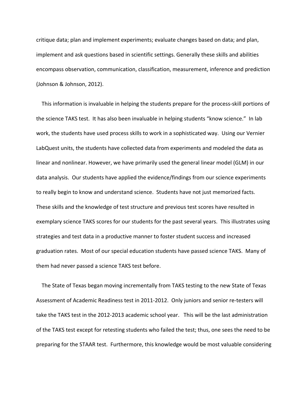critique data; plan and implement experiments; evaluate changes based on data; and plan, implement and ask questions based in scientific settings. Generally these skills and abilities encompass observation, communication, classification, measurement, inference and prediction (Johnson & Johnson, 2012).

 This information is invaluable in helping the students prepare for the process-skill portions of the science TAKS test. It has also been invaluable in helping students "know science." In lab work, the students have used process skills to work in a sophisticated way. Using our Vernier LabQuest units, the students have collected data from experiments and modeled the data as linear and nonlinear. However, we have primarily used the general linear model (GLM) in our data analysis. Our students have applied the evidence/findings from our science experiments to really begin to know and understand science. Students have not just memorized facts. These skills and the knowledge of test structure and previous test scores have resulted in exemplary science TAKS scores for our students for the past several years. This illustrates using strategies and test data in a productive manner to foster student success and increased graduation rates. Most of our special education students have passed science TAKS. Many of them had never passed a science TAKS test before.

 The State of Texas began moving incrementally from TAKS testing to the new State of Texas Assessment of Academic Readiness test in 2011-2012. Only juniors and senior re-testers will take the TAKS test in the 2012-2013 academic school year. This will be the last administration of the TAKS test except for retesting students who failed the test; thus, one sees the need to be preparing for the STAAR test. Furthermore, this knowledge would be most valuable considering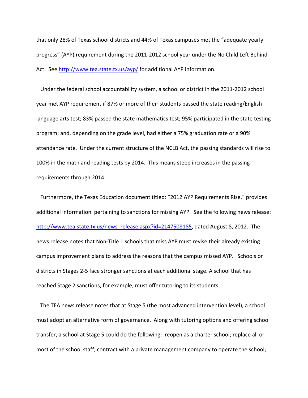that only 28% of Texas school districts and 44% of Texas campuses met the "adequate yearly progress" (AYP) requirement during the 2011-2012 school year under the No Child Left Behind Act. See<http://www.tea.state.tx.us/ayp/> for additional AYP information.

 Under the federal school accountability system, a school or district in the 2011-2012 school year met AYP requirement if 87% or more of their students passed the state reading/English language arts test; 83% passed the state mathematics test; 95% participated in the state testing program; and, depending on the grade level, had either a 75% graduation rate or a 90% attendance rate. Under the current structure of the NCLB Act, the passing standards will rise to 100% in the math and reading tests by 2014. This means steep increases in the passing requirements through 2014.

 Furthermore, the Texas Education document titled: "2012 AYP Requirements Rise," provides additional information pertaining to sanctions for missing AYP. See the following news release: [http://www.tea.state.tx.us/news\\_release.aspx?id=2147508185,](http://www.tea.state.tx.us/news_release.aspx?id=2147508185) dated August 8, 2012. The news release notes that Non-Title 1 schools that miss AYP must revise their already existing campus improvement plans to address the reasons that the campus missed AYP. Schools or districts in Stages 2-5 face stronger sanctions at each additional stage. A school that has reached Stage 2 sanctions, for example, must offer tutoring to its students.

 The TEA news release notes that at Stage 5 (the most advanced intervention level), a school must adopt an alternative form of governance. Along with tutoring options and offering school transfer, a school at Stage 5 could do the following: reopen as a charter school; replace all or most of the school staff; contract with a private management company to operate the school;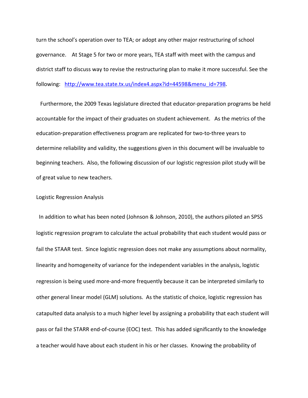turn the school's operation over to TEA; or adopt any other major restructuring of school governance. At Stage 5 for two or more years, TEA staff with meet with the campus and district staff to discuss way to revise the restructuring plan to make it more successful. See the following: [http://www.tea.state.tx.us/index4.aspx?id=44598&menu\\_id=798.](http://www.tea.state.tx.us/index4.aspx?id=44598&menu_id=798)

 Furthermore, the 2009 Texas legislature directed that educator-preparation programs be held accountable for the impact of their graduates on student achievement. As the metrics of the education-preparation effectiveness program are replicated for two-to-three years to determine reliability and validity, the suggestions given in this document will be invaluable to beginning teachers. Also, the following discussion of our logistic regression pilot study will be of great value to new teachers.

#### Logistic Regression Analysis

In addition to what has been noted (Johnson & Johnson, 2010), the authors piloted an SPSS logistic regression program to calculate the actual probability that each student would pass or fail the STAAR test. Since logistic regression does not make any assumptions about normality, linearity and homogeneity of variance for the independent variables in the analysis, logistic regression is being used more-and-more frequently because it can be interpreted similarly to other general linear model (GLM) solutions. As the statistic of choice, logistic regression has catapulted data analysis to a much higher level by assigning a probability that each student will pass or fail the STARR end-of-course (EOC) test. This has added significantly to the knowledge a teacher would have about each student in his or her classes. Knowing the probability of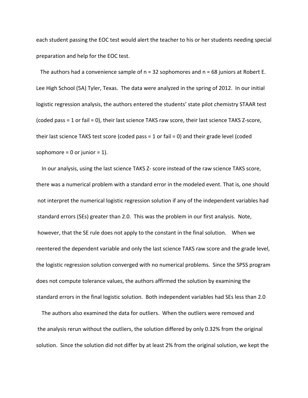each student passing the EOC test would alert the teacher to his or her students needing special preparation and help for the EOC test.

The authors had a convenience sample of n = 32 sophomores and n = 68 juniors at Robert E. Lee High School (5A) Tyler, Texas. The data were analyzed in the spring of 2012. In our initial logistic regression analysis, the authors entered the students' state pilot chemistry STAAR test (coded pass = 1 or fail = 0), their last science TAKS raw score, their last science TAKS Z-score, their last science TAKS test score (coded pass = 1 or fail = 0) and their grade level (coded sophomore = 0 or junior =  $1$ ).

 In our analysis, using the last science TAKS Z- score instead of the raw science TAKS score, there was a numerical problem with a standard error in the modeled event. That is, one should not interpret the numerical logistic regression solution if any of the independent variables had standard errors (SEs) greater than 2.0. This was the problem in our first analysis. Note, however, that the SE rule does not apply to the constant in the final solution. When we reentered the dependent variable and only the last science TAKS raw score and the grade level, the logistic regression solution converged with no numerical problems. Since the SPSS program does not compute tolerance values, the authors affirmed the solution by examining the standard errors in the final logistic solution. Both independent variables had SEs less than 2.0

 The authors also examined the data for outliers. When the outliers were removed and the analysis rerun without the outliers, the solution differed by only 0.32% from the original solution. Since the solution did not differ by at least 2% from the original solution, we kept the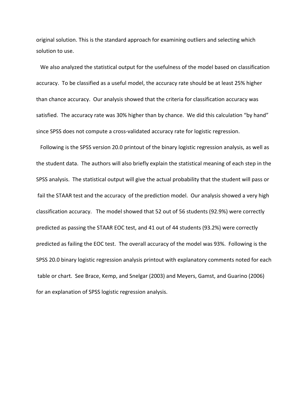original solution. This is the standard approach for examining outliers and selecting which solution to use.

 We also analyzed the statistical output for the usefulness of the model based on classification accuracy. To be classified as a useful model, the accuracy rate should be at least 25% higher than chance accuracy. Our analysis showed that the criteria for classification accuracy was satisfied. The accuracy rate was 30% higher than by chance. We did this calculation "by hand" since SPSS does not compute a cross-validated accuracy rate for logistic regression.

 Following is the SPSS version 20.0 printout of the binary logistic regression analysis, as well as the student data. The authors will also briefly explain the statistical meaning of each step in the SPSS analysis. The statistical output will give the actual probability that the student will pass or fail the STAAR test and the accuracy of the prediction model. Our analysis showed a very high classification accuracy. The model showed that 52 out of 56 students (92.9%) were correctly predicted as passing the STAAR EOC test, and 41 out of 44 students (93.2%) were correctly predicted as failing the EOC test. The overall accuracy of the model was 93%. Following is the SPSS 20.0 binary logistic regression analysis printout with explanatory comments noted for each table or chart. See Brace, Kemp, and Snelgar (2003) and Meyers, Gamst, and Guarino (2006) for an explanation of SPSS logistic regression analysis.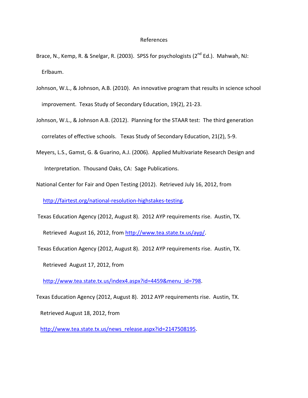#### References

- Brace, N., Kemp, R. & Snelgar, R. (2003). SPSS for psychologists (2<sup>nd</sup> Ed.). Mahwah, NJ: Erlbaum.
- Johnson, W.L., & Johnson, A.B. (2010). An innovative program that results in science school improvement. Texas Study of Secondary Education, 19(2), 21-23.
- Johnson, W.L., & Johnson A.B. (2012). Planning for the STAAR test: The third generation correlates of effective schools. Texas Study of Secondary Education, 21(2), 5-9.
- Meyers, L.S., Gamst, G. & Guarino, A.J. (2006). Applied Multivariate Research Design and Interpretation. Thousand Oaks, CA: Sage Publications.
- National Center for Fair and Open Testing (2012). Retrieved July 16, 2012, from [http://fairtest.org/national-resolution-highstakes-testing.](http://fairtest.org/national-resolution-highstakes-testing)
- Texas Education Agency (2012, August 8). 2012 AYP requirements rise. Austin, TX. Retrieved August 16, 2012, from [http://www.tea.state.tx.us/ayp/.](http://www.tea.state.tx.us/ayp/)
- Texas Education Agency (2012, August 8). 2012 AYP requirements rise. Austin, TX.

Retrieved August 17, 2012, from

[http://www.tea.state.tx.us/index4.aspx?id=4459&menu\\_id=798.](http://www.tea.state.tx.us/index4.aspx?id=4459&menu_id=798)

Texas Education Agency (2012, August 8). 2012 AYP requirements rise. Austin, TX.

Retrieved August 18, 2012, from

[http://www.tea.state.tx.us/news\\_release.aspx?id=2147508195.](http://www.tea.state.tx.us/news_release.aspx?id=2147508195)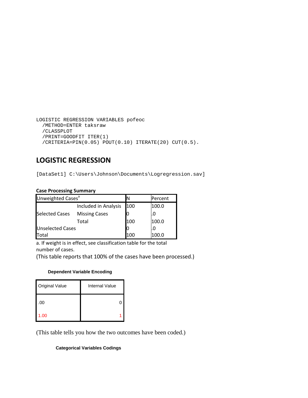```
LOGISTIC REGRESSION VARIABLES pofeoc
/METHOD=ENTER taksraw
/CLASSPLOT
/PRINT=GOODFIT ITER(1)
/CRITERIA=PIN(0.05) POUT(0.10) ITERATE(20) CUT(0.5).
```
### **LOGISTIC REGRESSION**

[DataSet1] C:\Users\Johnson\Documents\Logregression.sav]

#### **Case Processing Summary**

| Unweighted Cases <sup>a</sup> |                      |     | Percent |
|-------------------------------|----------------------|-----|---------|
|                               | Included in Analysis | 100 | 100.0   |
| <b>Selected Cases</b>         | <b>Missing Cases</b> |     |         |
|                               | Total                | 100 | 100.0   |
| <b>Unselected Cases</b>       |                      |     |         |
| <b>Total</b>                  |                      | 100 | 100.0   |

a. If weight is in effect, see classification table for the total number of cases.

(This table reports that 100% of the cases have been processed.)

#### **Dependent Variable Encoding**

| <b>Original Value</b> | <b>Internal Value</b> |
|-----------------------|-----------------------|
| 00                    |                       |
| 1.00                  |                       |

(This table tells you how the two outcomes have been coded.)

#### **Categorical Variables Codings**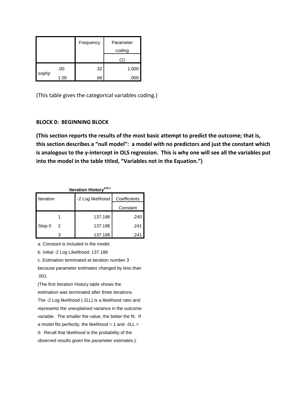|        |     | Frequency | Parameter<br>coding |
|--------|-----|-----------|---------------------|
|        |     |           |                     |
|        | .00 | 32        | 1.000               |
| sophjr | .00 | 68        |                     |

(This table gives the categorical variables coding.)

#### **BLOCK 0: BEGINNING BLOCK**

**(This section reports the results of the most basic attempt to predict the outcome; that is, this section describes a "null model": a model with no predictors and just the constant which is analogous to the y-intercept in OLS regression. This is why one will see all the variables put into the model in the table titled, "Variables not in the Equation.")**

| Iteration History <sup>a,b,c</sup> |   |                   |              |  |  |
|------------------------------------|---|-------------------|--------------|--|--|
| Iteration                          |   | -2 Log likelihood | Coefficients |  |  |
|                                    |   |                   | Constant     |  |  |
|                                    |   | 137.186           | .240         |  |  |
| Step 0                             | 2 | 137.186           | .241         |  |  |
|                                    |   | 137.186           | .241         |  |  |

a. Constant is included in the model.

b. Initial -2 Log Likelihood: 137.186

c. Estimation terminated at iteration number 3

because parameter estimates changed by less than .001.

(The first Iteration History table shows the estimation was terminated after three iterations. The -2 Log likelihood (-2LL) is a likelihood ratio and represents the unexplained variance in the outcome variable. The smaller the value, the better the fit. If a model fits perfectly, the likelihood = 1 and -2LL = 0. Recall that likelihood is the probability of the observed results given the parameter estimates.).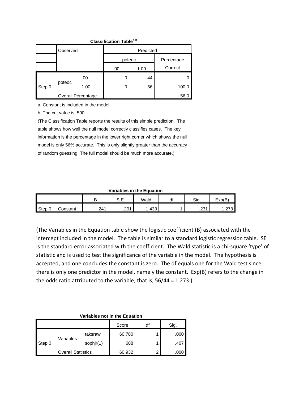| <b>Classification Tablea,b</b> |          |                           |        |           |            |  |
|--------------------------------|----------|---------------------------|--------|-----------|------------|--|
|                                | Observed |                           |        | Predicted |            |  |
|                                |          |                           | pofeoc |           | Percentage |  |
|                                |          |                           | .00    | 1.00      | Correct    |  |
|                                |          | .00                       |        | 44        |            |  |
| Step 0                         | pofeoc   | 1.00                      |        | 56        | 100.0      |  |
|                                |          | <b>Overall Percentage</b> |        |           | 56.0       |  |

a. Constant is included in the model.

b. The cut value is .500

(The Classification Table reports the results of this simple prediction. The table shows how well the null model correctly classifies cases. The key information is the percentage in the lower right corner which shows the null model is only 56% accurate. This is only slightly greater than the accuracy of random guessing. The full model should be much more accurate.)

| Variables in the Equation |
|---------------------------|
|---------------------------|

|        |          | D<br>D | $\sim$ $-$<br>◡.∟. | Wald | $\mathcal{A}'$<br>u | Sig.                      | Exp(B)         |
|--------|----------|--------|--------------------|------|---------------------|---------------------------|----------------|
| Step 0 | ∶onstant | .241   | .201               | .433 |                     | 22 <sub>1</sub><br>ا ت_ے. | . . <u>.</u> . |

(The Variables in the Equation table show the logistic coefficient (B) associated with the intercept included in the model. The table is similar to a standard logistic regression table. SE is the standard error associated with the coefficient. The Wald statistic is a chi-square 'type' of statistic and is used to test the significance of the variable in the model. The hypothesis is accepted, and one concludes the constant is zero. The df equals one for the Wald test since there is only one predictor in the model, namely the constant. Exp(B) refers to the change in the odds ratio attributed to the variable; that is, 56/44 = 1.273.)

#### **Variables not in the Equation**

|        |                           |           | Score  | df | Sig. |
|--------|---------------------------|-----------|--------|----|------|
|        |                           | taksraw   | 60.780 |    | .000 |
| Step 0 | Variables                 | sophjr(1) | .688   |    | .407 |
|        | <b>Overall Statistics</b> |           | 60.932 | ົ  | .000 |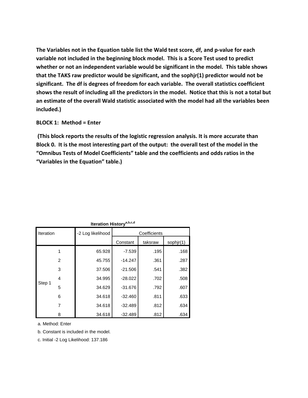**The Variables not in the Equation table list the Wald test score, df, and p-value for each variable not included in the beginning block model. This is a Score Test used to predict whether or not an independent variable would be significant in the model. This table shows that the TAKS raw predictor would be significant, and the sophjr(1) predictor would not be significant. The df is degrees of freedom for each variable. The overall statistics coefficient shows the result of including all the predictors in the model. Notice that this is not a total but an estimate of the overall Wald statistic associated with the model had all the variables been included.)**

#### **BLOCK 1: Method = Enter**

**(This block reports the results of the logistic regression analysis. It is more accurate than Block 0. It is the most interesting part of the output: the overall test of the model in the "Omnibus Tests of Model Coefficients" table and the coefficients and odds ratios in the "Variables in the Equation" table.)**

| <b>Iteration History</b> |        |                   |           |              |           |  |  |
|--------------------------|--------|-------------------|-----------|--------------|-----------|--|--|
| Iteration                |        | -2 Log likelihood |           | Coefficients |           |  |  |
|                          |        |                   | Constant  | taksraw      | sophjr(1) |  |  |
|                          |        | 65.928            | $-7.539$  | .195         | .168      |  |  |
|                          | 2      | 45.755            | $-14.247$ | .361         | .287      |  |  |
| 3                        | 37.506 | $-21.506$         | .541      | .382         |           |  |  |
|                          | 4      | 34.995            | $-28.022$ | .702         | .508      |  |  |
| Step 1                   | 5      | 34.629            | $-31.676$ | .792         | .607      |  |  |
|                          | 6      | 34.618            | $-32.460$ | .811         | .633      |  |  |
|                          | 7      | 34.618            | $-32.489$ | .812         | .634      |  |  |
|                          | 8      | 34.618            | $-32.489$ | .812         | .634      |  |  |

**Iteration Historya,b,c,d**

a. Method: Enter

b. Constant is included in the model.

c. Initial -2 Log Likelihood: 137.186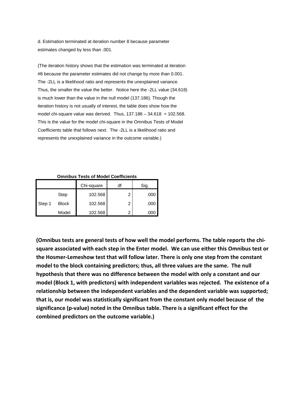d. Estimation terminated at iteration number 8 because parameter estimates changed by less than .001.

(The iteration history shows that the estimation was terminated at iteration #8 because the parameter estimates did not change by more than 0.001. The -2LL is a likelihood ratio and represents the unexplained variance. Thus, the smaller the value the better. Notice here the -2LL value (34.618) is much lower than the value in the null model (137.186). Though the iteration history is not usually of interest, the table does show how the model chi-square value was derived. Thus,  $137.186 - 34.618 = 102.568$ . This is the value for the model chi-square in the Omnibus Tests of Model Coefficients table that follows next. The -2LL is a likelihood ratio and represents the unexplained variance in the outcome variable.)

#### **Omnibus Tests of Model Coefficients**

|        |              | Chi-square |   | Sig. |
|--------|--------------|------------|---|------|
|        | Step         | 102.568    | 2 | .000 |
| Step 1 | <b>Block</b> | 102.568    | ົ | .000 |
|        | Model        | 102.568    |   |      |

**(Omnibus tests are general tests of how well the model performs. The table reports the chisquare associated with each step in the Enter model. We can use either this Omnibus test or the Hosmer-Lemeshow test that will follow later. There is only one step from the constant model to the block containing predictors; thus, all three values are the same. The null hypothesis that there was no difference between the model with only a constant and our model (Block 1, with predictors) with independent variables was rejected. The existence of a relationship between the independent variables and the dependent variable was supported; that is, our model was statistically significant from the constant only model because of the significance (p-value) noted in the Omnibus table. There is a significant effect for the combined predictors on the outcome variable.)**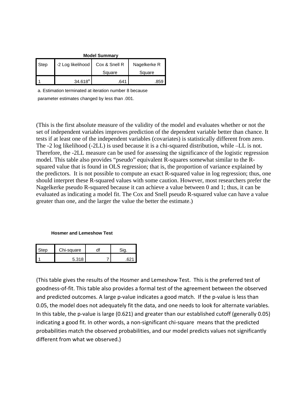| <b>Model Summary</b> |                   |               |              |  |  |  |
|----------------------|-------------------|---------------|--------------|--|--|--|
| Step                 | -2 Log likelihood | Cox & Snell R | Nagelkerke R |  |  |  |
|                      |                   | Square        | Square       |  |  |  |
|                      | $34.618^a$        | .641          | .859         |  |  |  |

a. Estimation terminated at iteration number 8 because

parameter estimates changed by less than .001.

(This is the first absolute measure of the validity of the model and evaluates whether or not the set of independent variables improves prediction of the dependent variable better than chance. It tests if at least one of the independent variables (covariates) is statistically different from zero. The -2 log likelihood (-2LL) is used because it is a chi-squared distribution, while –LL is not. Therefore, the -2LL measure can be used for assessing the significance of the logistic regression model. This table also provides "pseudo" equivalent R-squares somewhat similar to the Rsquared value that is found in OLS regression; that is, the proportion of variance explained by the predictors. It is not possible to compute an exact R-squared value in log regression; thus, one should interpret these R-squared values with some caution. However, most researchers prefer the Nagelkerke pseudo R-squared because it can achieve a value between 0 and 1; thus, it can be evaluated as indicating a model fit. The Cox and Snell pseudo R-squared value can have a value greater than one, and the larger the value the better the estimate.)

#### **Hosmer and Lemeshow Test**

| ੇtep | Chi-square |  |
|------|------------|--|
|      | 5.318      |  |

(This table gives the results of the Hosmer and Lemeshow Test. This is the preferred test of goodness-of-fit. This table also provides a formal test of the agreement between the observed and predicted outcomes. A large p-value indicates a good match. If the p-value is less than 0.05, the model does not adequately fit the data, and one needs to look for alternate variables. In this table, the p-value is large (0.621) and greater than our established cutoff (generally 0.05) indicating a good fit. In other words, a non-significant chi-square means that the predicted probabilities match the observed probabilities, and our model predicts values not significantly different from what we observed.)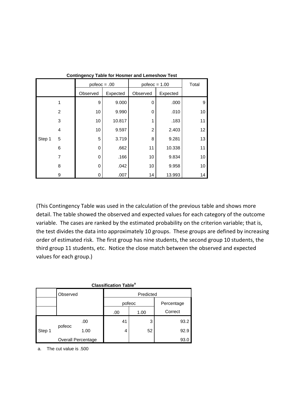|        |                | $pofeoc = .00$ |          | $pofeoc = 1.00$ | Total    |    |
|--------|----------------|----------------|----------|-----------------|----------|----|
|        |                | Observed       | Expected | Observed        | Expected |    |
|        | 1              | 9              | 9.000    | 0               | .000     | 9  |
|        | $\overline{2}$ | 10             | 9.990    | 0               | .010     | 10 |
|        | 3              | 10             | 10.817   |                 | .183     | 11 |
|        | $\overline{4}$ | 10             | 9.597    | 2               | 2.403    | 12 |
| Step 1 | 5              | 5              | 3.719    | 8               | 9.281    | 13 |
|        | 6              | 0              | .662     | 11              | 10.338   | 11 |
|        | 7              | 0              | .166     | 10              | 9.834    | 10 |
|        | 8              | 0              | .042     | 10              | 9.958    | 10 |
|        | 9              | 0              | .007     | 14              | 13.993   | 14 |

**Contingency Table for Hosmer and Lemeshow Test**

(This Contingency Table was used in the calculation of the previous table and shows more detail. The table showed the observed and expected values for each category of the outcome variable. The cases are ranked by the estimated probability on the criterion variable; that is, the test divides the data into approximately 10 groups. These groups are defined by increasing order of estimated risk. The first group has nine students, the second group 10 students, the third group 11 students, etc. Notice the close match between the observed and expected values for each group.)

| <b>Classification Table<sup>a</sup></b> |          |                    |           |        |            |  |  |  |
|-----------------------------------------|----------|--------------------|-----------|--------|------------|--|--|--|
|                                         | Observed |                    | Predicted |        |            |  |  |  |
|                                         |          |                    |           | pofeoc | Percentage |  |  |  |
|                                         |          |                    | .00       | 1.00   | Correct    |  |  |  |
|                                         |          | .00                | 41        | 3      | 93.2       |  |  |  |
| Step 1                                  | pofeoc   | 1.00               | 4         | 52     | 92.9       |  |  |  |
|                                         |          | Overall Percentage |           |        | 93.0       |  |  |  |

a. The cut value is .500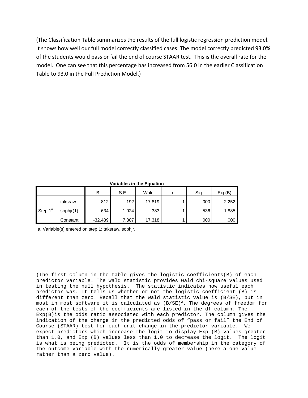(The Classification Table summarizes the results of the full logistic regression prediction model. It shows how well our full model correctly classified cases. The model correctly predicted 93.0% of the students would pass or fail the end of course STAAR test. This is the overall rate for the model. One can see that this percentage has increased from 56.0 in the earlier Classification Table to 93.0 in the Full Prediction Model.)

**Variables in the Equation**

|                     |           | B         | S.E.  | Wald   | df | Sig. | Exp(B) |
|---------------------|-----------|-----------|-------|--------|----|------|--------|
| Step 1 <sup>a</sup> | taksraw   | .812      | .192  | 17.819 |    | .000 | 2.252  |
|                     | sophjr(1) | .634      | 1.024 | .383   |    | .536 | 1.885  |
|                     | Constant  | $-32.489$ | 7.807 | 17.318 |    | .000 | .000   |

a. Variable(s) entered on step 1: taksraw, sophjr.

(The first column in the table gives the logistic coefficients(B) of each predictor variable. The Wald statistic provides Wald chi-square values used in testing the null hypothesis. The statistic indicates how useful each predictor was. It tells us whether or not the logistic coefficient (B) is different than zero. Recall that the Wald statistic value is (B/SE), but in most in most software it is calculated as  $(B/SE)^2$ . The degrees of freedom for each of the tests of the coefficients are listed in the df column. The Exp(B)is the odds ratio associated with each predictor. The column gives the indication of the change in the predicted odds of "pass or fail" the End of Course (STAAR) test for each unit change in the predictor variable. We expect predictors which increase the logit to display Exp (B) values greater than 1.0, and Exp (B) values less than 1.0 to decrease the logit. The logit is what is being predicted. It is the odds of membership in the category of the outcome variable with the numerically greater value (here a one value rather than a zero value).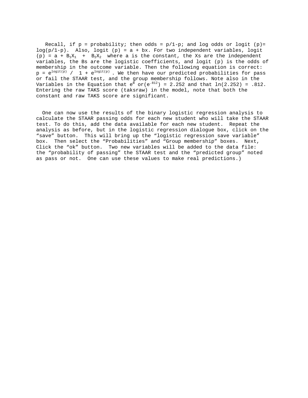Recall, if  $p = probability$ ; then odds =  $p/1-p$ ; and log odds or logit (p)=  $log(p/1-p)$ . Also,  $logit (p) = a + bx$ . For two independent variables, logit (p) =  $a + B_1X_1 + B_2X_2$  where a is the constant, the Xs are the independent variables, the Bs are the logistic coefficients, and logit (p) is the odds of membership in the outcome variable. Then the following equation is correct:  $p = e^{\log it(p)}$  / 1 +  $e^{\log it(p)}$ . We then have our predicted probabilities for pass or fail the STAAR test, and the group membership follows. Note also in the Variables in the Equation that  $e^B$  or( $e^{.812}$ ) = 2.252 and that  $ln(2.252)$  = .812. Entering the raw TAKS score (taksraw) in the model, note that both the constant and raw TAKS score are significant.

 One can now use the results of the binary logistic regression analysis to calculate the STAAR passing odds for each new student who will take the STAAR test. To do this, add the data available for each new student. Repeat the analysis as before, but in the logistic regression dialogue box, click on the "save" button. This will bring up the "logistic regression save variable" box. Then select the "Probabilities" and "Group membership" boxes. Next, Click the "ok" button. Two new variables will be added to the data file: the "probability of passing" the STAAR test and the "predicted group" noted as pass or not. One can use these values to make real predictions.)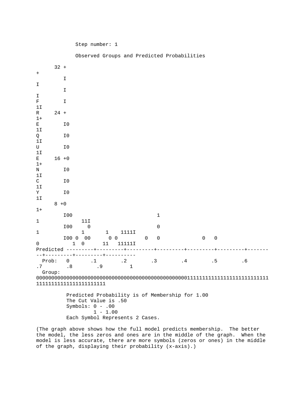|  | Step number: |  |
|--|--------------|--|
|--|--------------|--|

 $1 - 1.00$ 

Each Symbol Represents 2 Cases.

|                   |          |              | Observed Groups and Predicted Probabilities                                                   |                            |                           |   |              |    |                     |             |    |  |
|-------------------|----------|--------------|-----------------------------------------------------------------------------------------------|----------------------------|---------------------------|---|--------------|----|---------------------|-------------|----|--|
|                   | $32 +$   |              |                                                                                               |                            |                           |   |              |    |                     |             |    |  |
| $\ddot{}$         |          |              |                                                                                               |                            |                           |   |              |    |                     |             |    |  |
| I                 |          | I            |                                                                                               |                            |                           |   |              |    |                     |             |    |  |
|                   |          | I            |                                                                                               |                            |                           |   |              |    |                     |             |    |  |
| I<br>$\mathbf F$  |          | I            |                                                                                               |                            |                           |   |              |    |                     |             |    |  |
| 11                |          |              |                                                                                               |                            |                           |   |              |    |                     |             |    |  |
| R                 | $24 +$   |              |                                                                                               |                            |                           |   |              |    |                     |             |    |  |
| $1+$<br>Е         |          | I0           |                                                                                               |                            |                           |   |              |    |                     |             |    |  |
| 1I                |          |              |                                                                                               |                            |                           |   |              |    |                     |             |    |  |
| Q<br>11           |          | I0           |                                                                                               |                            |                           |   |              |    |                     |             |    |  |
| U                 |          | I0           |                                                                                               |                            |                           |   |              |    |                     |             |    |  |
| 1I                | $16 + 0$ |              |                                                                                               |                            |                           |   |              |    |                     |             |    |  |
| Е<br>$1+$         |          |              |                                                                                               |                            |                           |   |              |    |                     |             |    |  |
| N                 |          | I0           |                                                                                               |                            |                           |   |              |    |                     |             |    |  |
| 1I<br>$\mathsf C$ |          | I0           |                                                                                               |                            |                           |   |              |    |                     |             |    |  |
| $11$              |          |              |                                                                                               |                            |                           |   |              |    |                     |             |    |  |
| Υ<br>1I           |          | I0           |                                                                                               |                            |                           |   |              |    |                     |             |    |  |
|                   | $8 + 0$  |              |                                                                                               |                            |                           |   |              |    |                     |             |    |  |
| $1+$              |          | I00          |                                                                                               |                            |                           |   | $\mathbf{1}$ |    |                     |             |    |  |
| $\mathbf 1$       |          |              | 11I                                                                                           |                            |                           |   |              |    |                     |             |    |  |
|                   |          | I00          | $\mathbf 0$                                                                                   |                            |                           |   | $\mathbf 0$  |    |                     |             |    |  |
| $\mathbf 1$       |          | I00 0        | $\mathbf{1}$<br>00                                                                            | $\mathbf{1}$<br>$0\quad 0$ | 1111I                     | 0 | $\mathsf 0$  |    | $\mathsf{O}\xspace$ | $\mathsf 0$ |    |  |
| $\mathbf 0$       |          | $\mathbf{1}$ | $\mathbf 0$                                                                                   | 11                         | 11111I                    |   |              |    |                     |             |    |  |
| $- - + -$         |          |              | -------+---------+---------                                                                   |                            |                           |   |              |    |                     |             |    |  |
| Prob:<br>.7       |          | 0<br>.8      | $\cdot$ 1<br>.9                                                                               |                            | $\cdot$ 2<br>$\mathbf{1}$ |   | .3           | .4 |                     | .5          | .6 |  |
| Group:            |          |              |                                                                                               |                            |                           |   |              |    |                     |             |    |  |
|                   |          |              | Predicted Probability is of Membership for 1.00<br>The Cut Value is .50<br>Symbols: $0 - .00$ |                            |                           |   |              |    |                     |             |    |  |

(The graph above shows how the full model predicts membership. The better the model, the less zeros and ones are in the middle of the graph. When the model is less accurate, there are more symbols (zeros or ones) in the middle of the graph, displaying their probability (x-axis).)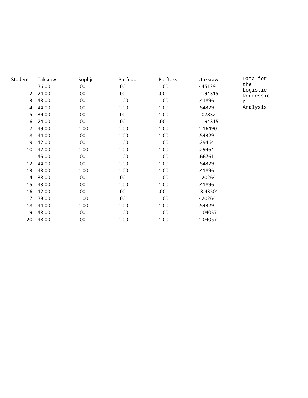| Student | Taksraw | Sophjr | Porfeoc | Porftaks | ztaksraw   | Data         |
|---------|---------|--------|---------|----------|------------|--------------|
| 1       | 36.00   | .00.   | .00.    | 1.00     | $-.45129$  | the          |
| 2       | 24.00   | .00    | .00     | .00      | $-1.94315$ | Log:<br>Regi |
| 3       | 43.00   | .00.   | 1.00    | 1.00     | .41896     | n            |
| 4       | 44.00   | .00.   | 1.00    | 1.00     | .54329     | Ana:         |
| 5       | 39.00   | .00    | .00.    | 1.00     | $-07832$   |              |
| 6       | 24.00   | .00.   | .00     | .00.     | $-1.94315$ |              |
| 7       | 49.00   | 1.00   | 1.00    | 1.00     | 1.16490    |              |
| 8       | 44.00   | .00.   | 1.00    | 1.00     | .54329     |              |
| 9       | 42.00   | .00.   | 1.00    | 1.00     | .29464     |              |
| 10      | 42.00   | 1.00   | 1.00    | 1.00     | .29464     |              |
| 11      | 45.00   | .00    | 1.00    | 1.00     | .66761     |              |
| 12      | 44.00   | .00.   | 1.00    | 1.00     | .54329     |              |
| 13      | 43.00   | 1.00   | 1.00    | 1.00     | .41896     |              |
| 14      | 38.00   | .00.   | .00.    | 1.00     | $-.20264$  |              |
| 15      | 43.00   | .00    | 1.00    | 1.00     | .41896     |              |
| 16      | 12.00   | .00    | .00     | .00.     | $-3.43501$ |              |
| 17      | 38.00   | 1.00   | .00.    | 1.00     | $-.20264$  |              |
| 18      | 44.00   | 1.00   | 1.00    | 1.00     | .54329     |              |
| 19      | 48.00   | .00.   | 1.00    | 1.00     | 1.04057    |              |
| 20      | 48.00   | .00    | 1.00    | 1.00     | 1.04057    |              |

a for the jistic ressio

lysis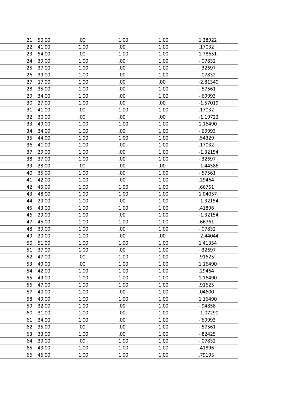| 21       | 50.00 | .00  | 1.00 | 1.00 | 1.28922    |
|----------|-------|------|------|------|------------|
| 22       | 41.00 | 1.00 | .00. | 1.00 | .17032     |
| 23       | 54.00 | .00. | 1.00 | 1.00 | 1.78651    |
| 24       | 39.00 | 1.00 | .00  | 1.00 | $-07832$   |
| 25       | 37.00 | 1.00 | .00  | 1.00 | $-0.32697$ |
| 26       | 39.00 | 1.00 | .00  | 1.00 | $-07832$   |
| 27       | 17.00 | 1.00 | .00  | .00. | $-2.81340$ |
| 28       | 35.00 | 1.00 | .00  | 1.00 | $-57561$   |
| 29       | 34.00 | 1.00 | .00  | 1.00 | $-0.69993$ |
| 30       | 27.00 | 1.00 | .00  | .00. | $-1.57019$ |
| 31       | 41.00 | .00  | 1.00 | 1.00 | .17032     |
| 32       | 30.00 | .00. | .00. | .00. | $-1.19722$ |
| 33       | 49.00 | 1.00 | 1.00 | 1.00 | 1.16490    |
| 34       | 34.00 | 1.00 | .00. | 1.00 | $-0.69993$ |
| 35       | 44.00 | 1.00 | 1.00 | 1.00 | .54329     |
| 36       | 41.00 | 1.00 | .00  | 1.00 | .17032     |
| 37       | 29.00 | 1.00 | .00  | 1.00 | $-1.32154$ |
| 38       | 37.00 | 1.00 | .00  | 1.00 | $-0.32697$ |
| 39       | 28.00 | .00. | .00  | .00. | $-1.44586$ |
| 40       | 35.00 | 1.00 | .00  | 1.00 | $-57561$   |
| 41       | 42.00 | 1.00 | .00  | 1.00 | .29464     |
| 42       | 45.00 | 1.00 | 1.00 | 1.00 | .66761     |
| 43       | 48.00 | 1.00 | 1.00 | 1.00 | 1.04057    |
| 44       | 29.00 | 1.00 | .00. | 1.00 | $-1.32154$ |
| 45       | 43.00 | 1.00 | 1.00 | 1.00 | .41896     |
| 46       | 29.00 | 1.00 | .00. | 1.00 | $-1.32154$ |
| 47       | 45.00 | 1.00 | 1.00 | 1.00 | .66761     |
| 48       | 39.00 | 1.00 | .00  | 1.00 | $-07832$   |
| 49       | 20.00 | 1.00 | .00  | .00. | $-2.44044$ |
| 50       | 51.00 | 1.00 | 1.00 | 1.00 | 1.41354    |
| 51       | 37.00 | 1.00 | .00. | 1.00 | $-0.32697$ |
| 52       | 47.00 | .00  | 1.00 | 1.00 | .91625     |
| 53       | 49.00 | .00. | 1.00 | 1.00 | 1.16490    |
| 54       | 42.00 | 1.00 | 1.00 | 1.00 | .29464     |
| 55       | 49.00 | 1.00 | 1.00 | 1.00 | 1.16490    |
| 56       | 47.00 | 1.00 | 1.00 | 1.00 | .91625     |
| 57       | 40.00 | 1.00 | .00. | 1.00 | .04600     |
| 58       | 49.00 | 1.00 | 1.00 | 1.00 | 1.16490    |
| 59       | 32.00 | 1.00 | .00  | 1.00 | $-0.94858$ |
| 60       | 31.00 | 1.00 | .00  | 1.00 | $-1.07290$ |
|          | 34.00 | 1.00 | .00. | 1.00 | $-0.69993$ |
| 61<br>62 | 35.00 | .00. |      | 1.00 | $-0.57561$ |
|          |       |      | .00. |      |            |
| 63       | 33.00 | 1.00 | .00. | 1.00 | $-.82425$  |
| 64       | 39.00 | .00. | 1.00 | 1.00 | $-07832$   |
| 65       | 43.00 | 1.00 | 1.00 | 1.00 | .41896     |
| 66       | 46.00 | 1.00 | 1.00 | 1.00 | .79193     |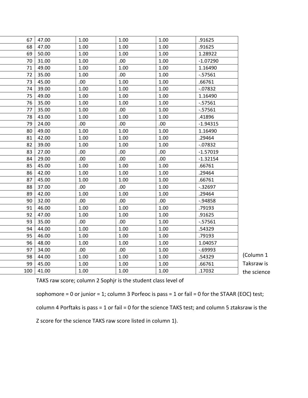| 67  | 47.00 | 1.00 | 1.00 | 1.00 | .91625     |
|-----|-------|------|------|------|------------|
| 68  | 47.00 | 1.00 | 1.00 | 1.00 | .91625     |
| 69  | 50.00 | 1.00 | 1.00 | 1.00 | 1.28922    |
| 70  | 31.00 | 1.00 | .00  | 1.00 | $-1.07290$ |
| 71  | 49.00 | 1.00 | 1.00 | 1.00 | 1.16490    |
| 72  | 35.00 | 1.00 | .00. | 1.00 | $-0.57561$ |
| 73  | 45.00 | .00  | 1.00 | 1.00 | .66761     |
| 74  | 39.00 | 1.00 | 1.00 | 1.00 | $-07832$   |
| 75  | 49.00 | 1.00 | 1.00 | 1.00 | 1.16490    |
| 76  | 35.00 | 1.00 | 1.00 | 1.00 | $-0.57561$ |
| 77  | 35.00 | 1.00 | .00. | 1.00 | $-0.57561$ |
| 78  | 43.00 | 1.00 | 1.00 | 1.00 | .41896     |
| 79  | 24.00 | .00. | .00. | .00  | $-1.94315$ |
| 80  | 49.00 | 1.00 | 1.00 | 1.00 | 1.16490    |
| 81  | 42.00 | 1.00 | 1.00 | 1.00 | .29464     |
| 82  | 39.00 | 1.00 | 1.00 | 1.00 | $-07832$   |
| 83  | 27.00 | .00  | .00  | .00  | $-1.57019$ |
| 84  | 29.00 | .00  | .00  | .00  | $-1.32154$ |
| 85  | 45.00 | 1.00 | 1.00 | 1.00 | .66761     |
| 86  | 42.00 | 1.00 | 1.00 | 1.00 | .29464     |
| 87  | 45.00 | 1.00 | 1.00 | 1.00 | .66761     |
| 88  | 37.00 | .00  | .00. | 1.00 | $-0.32697$ |
| 89  | 42.00 | 1.00 | 1.00 | 1.00 | .29464     |
| 90  | 32.00 | .00  | .00  | .00  | $-0.94858$ |
| 91  | 46.00 | 1.00 | 1.00 | 1.00 | .79193     |
| 92  | 47.00 | 1.00 | 1.00 | 1.00 | .91625     |
| 93  | 35.00 | .00  | .00. | 1.00 | $-0.57561$ |
| 94  | 44.00 | 1.00 | 1.00 | 1.00 | .54329     |
| 95  | 46.00 | 1.00 | 1.00 | 1.00 | .79193     |
| 96  | 48.00 | 1.00 | 1.00 | 1.00 | 1.04057    |
| 97  | 34.00 | .00  | .00  | 1.00 | $-0.69993$ |
| 98  | 44.00 | 1.00 | 1.00 | 1.00 | .54329     |
| 99  | 45.00 | 1.00 | 1.00 | 1.00 | .66761     |
| 100 | 41.00 | 1.00 | 1.00 | 1.00 | .17032     |
|     |       |      |      |      |            |

(Column 1 Taksraw is the science

TAKS raw score; column 2 Sophjr is the student class level of

sophomore = 0 or junior = 1; column 3 Porfeoc is pass = 1 or fail = 0 for the STAAR (EOC) test;

column 4 Porftaks is pass = 1 or fail = 0 for the science TAKS test; and column 5 ztaksraw is the

Z score for the science TAKS raw score listed in column 1).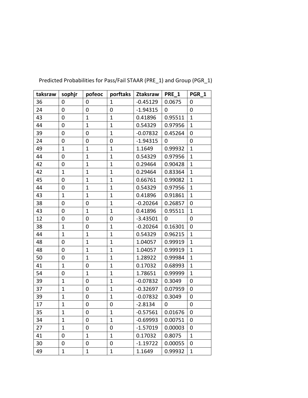| taksraw | sophjr       | pofeoc         | porftaks     | Ztaksraw   | PRE 1          | PGR 1        |
|---------|--------------|----------------|--------------|------------|----------------|--------------|
| 36      | 0            | 0              | 1            | $-0.45129$ | 0.0675         | 0            |
| 24      | 0            | 0              | 0            | $-1.94315$ | 0              | 0            |
| 43      | $\mathbf 0$  | $\mathbf{1}$   | $\mathbf{1}$ | 0.41896    | 0.95511        | $\mathbf{1}$ |
| 44      | 0            | $\mathbf{1}$   | $\mathbf{1}$ | 0.54329    | 0.97956        | $\mathbf{1}$ |
| 39      | 0            | 0              | $\mathbf{1}$ | $-0.07832$ | 0.45264        | 0            |
| 24      | 0            | 0              | 0            | $-1.94315$ | $\overline{0}$ | 0            |
| 49      | $\mathbf{1}$ | $\mathbf{1}$   | $\mathbf{1}$ | 1.1649     | 0.99932        | $\mathbf{1}$ |
| 44      | 0            | $\mathbf 1$    | $\mathbf{1}$ | 0.54329    | 0.97956        | $\mathbf{1}$ |
| 42      | 0            | $\mathbf{1}$   | $\mathbf{1}$ | 0.29464    | 0.90428        | $\mathbf{1}$ |
| 42      | 1            | $\mathbf 1$    | $\mathbf{1}$ | 0.29464    | 0.83364        | $\mathbf{1}$ |
| 45      | 0            | $\mathbf{1}$   | $\mathbf{1}$ | 0.66761    | 0.99082        | $\mathbf{1}$ |
| 44      | 0            | $\mathbf{1}$   | $\mathbf{1}$ | 0.54329    | 0.97956        | $\mathbf{1}$ |
| 43      | $\mathbf{1}$ | $\mathbf{1}$   | $\mathbf{1}$ | 0.41896    | 0.91861        | $\mathbf{1}$ |
| 38      | 0            | 0              | $\mathbf{1}$ | $-0.20264$ | 0.26857        | 0            |
| 43      | $\mathbf 0$  | $\mathbf{1}$   | $\mathbf{1}$ | 0.41896    | 0.95511        | $\mathbf{1}$ |
| 12      | 0            | 0              | 0            | $-3.43501$ | 0              | 0            |
| 38      | $\mathbf{1}$ | 0              | $\mathbf{1}$ | $-0.20264$ | 0.16301        | 0            |
| 44      | $\mathbf{1}$ | $\mathbf{1}$   | $\mathbf{1}$ | 0.54329    | 0.96215        | $\mathbf{1}$ |
| 48      | 0            | $\mathbf{1}$   | $\mathbf{1}$ | 1.04057    | 0.99919        | $\mathbf{1}$ |
| 48      | 0            | $\overline{1}$ | $\mathbf{1}$ | 1.04057    | 0.99919        | $\mathbf{1}$ |
| 50      | 0            | $\mathbf{1}$   | $\mathbf{1}$ | 1.28922    | 0.99984        | $\mathbf{1}$ |
| 41      | 1            | 0              | $\mathbf{1}$ | 0.17032    | 0.68993        | $\mathbf{1}$ |
| 54      | 0            | $\mathbf{1}$   | $\mathbf{1}$ | 1.78651    | 0.99999        | $\mathbf{1}$ |
| 39      | $\mathbf{1}$ | 0              | $\mathbf{1}$ | $-0.07832$ | 0.3049         | 0            |
| 37      | $\mathbf{1}$ | 0              | $\mathbf{1}$ | $-0.32697$ | 0.07959        | 0            |
| 39      | $\mathbf{1}$ | 0              | $\mathbf{1}$ | $-0.07832$ | 0.3049         | 0            |
| 17      | $\mathbf{1}$ | $\mathbf 0$    | 0            | $-2.8134$  | 0              | 0            |
| 35      | $\mathbf{1}$ | 0              | $\mathbf{1}$ | $-0.57561$ | 0.01676        | 0            |
| 34      | $\mathbf{1}$ | 0              | $\mathbf{1}$ | $-0.69993$ | 0.00751        | 0            |
| 27      | $\mathbf{1}$ | 0              | 0            | $-1.57019$ | 0.00003        | 0            |
| 41      | 0            | $\mathbf{1}$   | $\mathbf{1}$ | 0.17032    | 0.8075         | $\mathbf{1}$ |
| 30      | 0            | 0              | 0            | $-1.19722$ | 0.00055        | 0            |
| 49      | $\mathbf{1}$ | $\mathbf{1}$   | $\mathbf{1}$ | 1.1649     | 0.99932        | $\mathbf{1}$ |

Predicted Probabilities for Pass/Fail STAAR (PRE\_1) and Group (PGR\_1)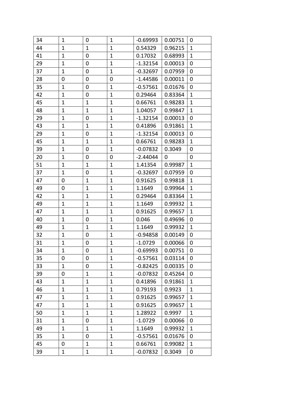| 34 | $\mathbf{1}$ | 0            | $\mathbf{1}$ | $-0.69993$ | 0.00751 | $\pmb{0}$        |
|----|--------------|--------------|--------------|------------|---------|------------------|
| 44 | $\mathbf{1}$ | $\mathbf{1}$ | $\mathbf{1}$ | 0.54329    | 0.96215 | $\mathbf{1}$     |
| 41 | $\mathbf{1}$ | 0            | $\mathbf{1}$ | 0.17032    | 0.68993 | $\mathbf{1}$     |
| 29 | $\mathbf{1}$ | 0            | $\mathbf{1}$ | $-1.32154$ | 0.00013 | 0                |
| 37 | $\mathbf{1}$ | 0            | $\mathbf{1}$ | $-0.32697$ | 0.07959 | $\mathbf 0$      |
| 28 | 0            | 0            | 0            | $-1.44586$ | 0.00011 | $\boldsymbol{0}$ |
| 35 | $\mathbf{1}$ | 0            | $\mathbf{1}$ | $-0.57561$ | 0.01676 | $\mathbf 0$      |
| 42 | $\mathbf{1}$ | 0            | $\mathbf{1}$ | 0.29464    | 0.83364 | $\mathbf{1}$     |
| 45 | $\mathbf{1}$ | $\mathbf{1}$ | $\mathbf{1}$ | 0.66761    | 0.98283 | $\mathbf{1}$     |
| 48 | $\mathbf{1}$ | $\mathbf{1}$ | $\mathbf{1}$ | 1.04057    | 0.99847 | $\mathbf{1}$     |
| 29 | $\mathbf{1}$ | 0            | 1            | $-1.32154$ | 0.00013 | 0                |
| 43 | $\mathbf{1}$ | $\mathbf{1}$ | $\mathbf{1}$ | 0.41896    | 0.91861 | $\mathbf{1}$     |
| 29 | $\mathbf{1}$ | 0            | $\mathbf{1}$ | $-1.32154$ | 0.00013 | $\mathbf 0$      |
| 45 | $\mathbf{1}$ | $\mathbf{1}$ | $\mathbf{1}$ | 0.66761    | 0.98283 | $\mathbf{1}$     |
| 39 | $\mathbf{1}$ | 0            | $\mathbf{1}$ | $-0.07832$ | 0.3049  | 0                |
| 20 | $\mathbf{1}$ | 0            | 0            | $-2.44044$ | 0       | 0                |
| 51 | $\mathbf{1}$ | $\mathbf{1}$ | $\mathbf{1}$ | 1.41354    | 0.99987 | $\mathbf{1}$     |
| 37 | $\mathbf{1}$ | 0            | 1            | $-0.32697$ | 0.07959 | 0                |
| 47 | 0            | $\mathbf{1}$ | $\mathbf{1}$ | 0.91625    | 0.99818 | $\mathbf{1}$     |
| 49 | 0            | $\mathbf{1}$ | $\mathbf{1}$ | 1.1649     | 0.99964 | $\mathbf{1}$     |
| 42 | $\mathbf 1$  | $\mathbf{1}$ | $\mathbf{1}$ | 0.29464    | 0.83364 | $\mathbf{1}$     |
| 49 | $\mathbf{1}$ | $\mathbf{1}$ | $\mathbf{1}$ | 1.1649     | 0.99932 | $\mathbf{1}$     |
| 47 | $\mathbf{1}$ | $\mathbf{1}$ | $\mathbf{1}$ | 0.91625    | 0.99657 | $\mathbf{1}$     |
| 40 | $\mathbf{1}$ | 0            | $\mathbf{1}$ | 0.046      | 0.49696 | $\mathbf 0$      |
| 49 | $\mathbf{1}$ | $\mathbf{1}$ | $\mathbf{1}$ | 1.1649     | 0.99932 | $\mathbf{1}$     |
| 32 | $\mathbf{1}$ | $\mathbf 0$  | $\mathbf{1}$ | $-0.94858$ | 0.00149 | $\mathbf 0$      |
| 31 | $\mathbf{1}$ | 0            | $\mathbf{1}$ | $-1.0729$  | 0.00066 | $\mathbf 0$      |
| 34 | $\mathbf{1}$ | 0            | $\mathbf{1}$ | $-0.69993$ | 0.00751 | 0                |
| 35 | 0            | $\mathbf 0$  | $\mathbf{1}$ | $-0.57561$ | 0.03114 | $\mathbf 0$      |
| 33 | 1            | 0            | 1            | $-0.82425$ | 0.00335 | 0                |
| 39 | 0            | $\mathbf{1}$ | $\mathbf{1}$ | $-0.07832$ | 0.45264 | 0                |
| 43 | $\mathbf{1}$ | $\mathbf{1}$ | $\mathbf{1}$ | 0.41896    | 0.91861 | $\mathbf{1}$     |
| 46 | 1            | 1            | $\mathbf 1$  | 0.79193    | 0.9923  | 1                |
| 47 | $\mathbf{1}$ | $\mathbf{1}$ | $\mathbf{1}$ | 0.91625    | 0.99657 | 1                |
| 47 | $\mathbf 1$  | $\mathbf 1$  | $\mathbf 1$  | 0.91625    | 0.99657 | 1                |
| 50 | $\mathbf{1}$ | $\mathbf{1}$ | $\mathbf{1}$ | 1.28922    | 0.9997  | $\mathbf{1}$     |
| 31 | $\mathbf{1}$ | 0            | $\mathbf{1}$ | $-1.0729$  | 0.00066 | 0                |
| 49 | $\mathbf{1}$ | $\mathbf{1}$ | $\mathbf{1}$ | 1.1649     | 0.99932 | $\mathbf{1}$     |
| 35 | $\mathbf 1$  | 0            | $\mathbf{1}$ | $-0.57561$ | 0.01676 | 0                |
| 45 | 0            | $\mathbf{1}$ | $\mathbf{1}$ | 0.66761    | 0.99082 | 1                |
| 39 | $\mathbf{1}$ | $\mathbf{1}$ | $\mathbf{1}$ | $-0.07832$ | 0.3049  | 0                |